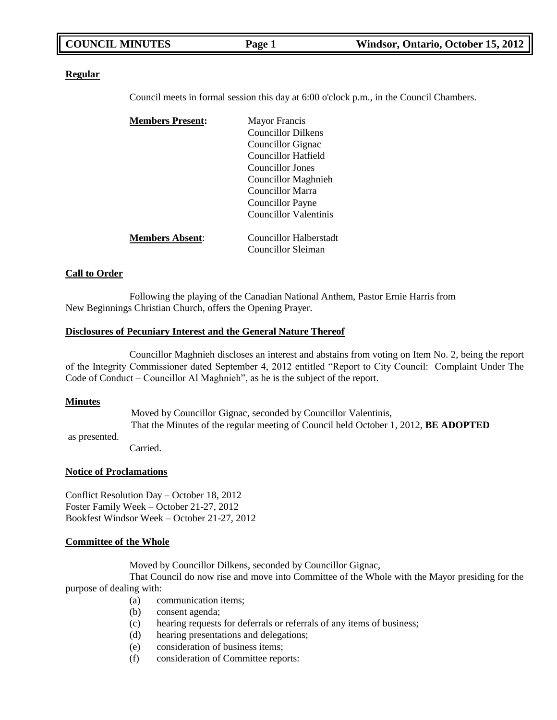| <b>COUNCIL MINUTES</b> |        | Windsor, Ontario, October 15, 2012 |  |
|------------------------|--------|------------------------------------|--|
|                        | Page 1 |                                    |  |

#### **Regular**

Council meets in formal session this day at 6:00 o'clock p.m., in the Council Chambers.

| <b>Members Present:</b> | <b>Mayor Francis</b>      |
|-------------------------|---------------------------|
|                         | <b>Councillor Dilkens</b> |
|                         | Councillor Gignac         |
|                         | Councillor Hatfield       |
|                         | Councillor Jones          |
|                         | Councillor Maghnieh       |
|                         | Councillor Marra          |
|                         | Councillor Payne          |
|                         | Councillor Valentinis     |
|                         |                           |
| <b>Members Absent:</b>  | Councillor Halberstadt    |
|                         | Councillor Sleiman        |

#### **Call to Order**

Following the playing of the Canadian National Anthem, Pastor Ernie Harris from New Beginnings Christian Church, offers the Opening Prayer.

#### **Disclosures of Pecuniary Interest and the General Nature Thereof**

Councillor Maghnieh discloses an interest and abstains from voting on Item No. 2, being the report of the Integrity Commissioner dated September 4, 2012 entitled "Report to City Council: Complaint Under The Code of Conduct – Councillor Al Maghnieh", as he is the subject of the report.

#### **Minutes**

Moved by Councillor Gignac, seconded by Councillor Valentinis, That the Minutes of the regular meeting of Council held October 1, 2012, **BE ADOPTED**

as presented.

Carried.

#### **Notice of Proclamations**

Conflict Resolution Day – October 18, 2012 Foster Family Week – October 21-27, 2012 Bookfest Windsor Week – October 21-27, 2012

#### **Committee of the Whole**

Moved by Councillor Dilkens, seconded by Councillor Gignac,

That Council do now rise and move into Committee of the Whole with the Mayor presiding for the purpose of dealing with:

- (a) communication items;
- (b) consent agenda;
- (c) hearing requests for deferrals or referrals of any items of business;
- (d) hearing presentations and delegations;
- (e) consideration of business items;
- (f) consideration of Committee reports: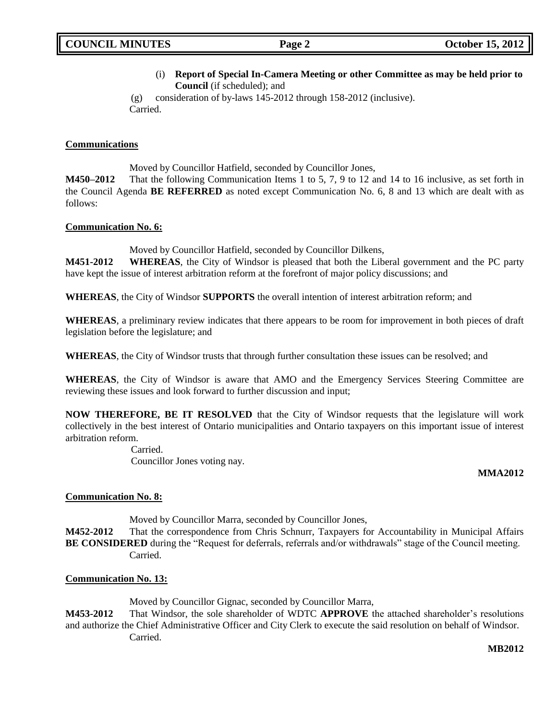(i) **Report of Special In-Camera Meeting or other Committee as may be held prior to Council** (if scheduled); and

(g) consideration of by-laws 145-2012 through 158-2012 (inclusive). Carried.

## **Communications**

Moved by Councillor Hatfield, seconded by Councillor Jones,

**M450–2012** That the following Communication Items 1 to 5, 7, 9 to 12 and 14 to 16 inclusive, as set forth in the Council Agenda **BE REFERRED** as noted except Communication No. 6, 8 and 13 which are dealt with as follows:

## **Communication No. 6:**

Moved by Councillor Hatfield, seconded by Councillor Dilkens,

**M451-2012 WHEREAS**, the City of Windsor is pleased that both the Liberal government and the PC party have kept the issue of interest arbitration reform at the forefront of major policy discussions; and

**WHEREAS**, the City of Windsor **SUPPORTS** the overall intention of interest arbitration reform; and

**WHEREAS**, a preliminary review indicates that there appears to be room for improvement in both pieces of draft legislation before the legislature; and

**WHEREAS**, the City of Windsor trusts that through further consultation these issues can be resolved; and

**WHEREAS**, the City of Windsor is aware that AMO and the Emergency Services Steering Committee are reviewing these issues and look forward to further discussion and input;

**NOW THEREFORE, BE IT RESOLVED** that the City of Windsor requests that the legislature will work collectively in the best interest of Ontario municipalities and Ontario taxpayers on this important issue of interest arbitration reform.

> Carried. Councillor Jones voting nay.

## **MMA2012**

## **Communication No. 8:**

Moved by Councillor Marra, seconded by Councillor Jones,

**M452-2012** That the correspondence from Chris Schnurr, Taxpayers for Accountability in Municipal Affairs **BE CONSIDERED** during the "Request for deferrals, referrals and/or withdrawals" stage of the Council meeting. Carried.

## **Communication No. 13:**

Moved by Councillor Gignac, seconded by Councillor Marra,

**M453-2012** That Windsor, the sole shareholder of WDTC **APPROVE** the attached shareholder's resolutions and authorize the Chief Administrative Officer and City Clerk to execute the said resolution on behalf of Windsor. Carried.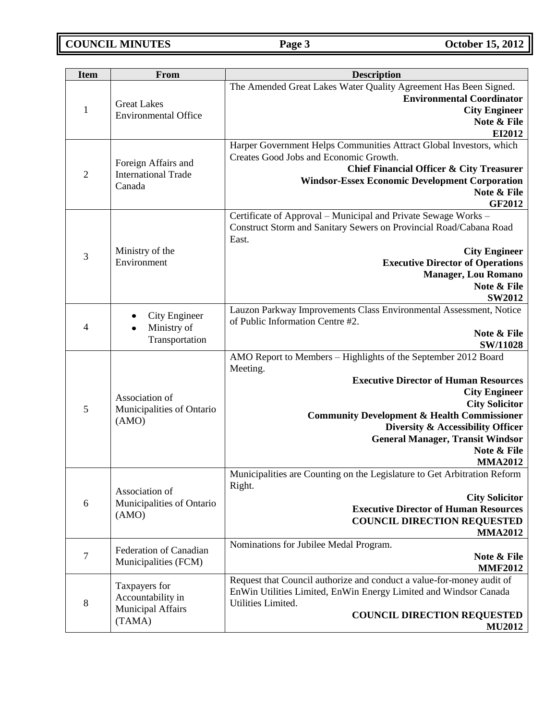| <b>Item</b>    | <b>From</b>                                       | <b>Description</b>                                                                                                                                                   |  |
|----------------|---------------------------------------------------|----------------------------------------------------------------------------------------------------------------------------------------------------------------------|--|
| $\mathbf{1}$   | <b>Great Lakes</b>                                | The Amended Great Lakes Water Quality Agreement Has Been Signed.<br><b>Environmental Coordinator</b><br><b>City Engineer</b>                                         |  |
|                | <b>Environmental Office</b>                       | Note & File<br>EI2012                                                                                                                                                |  |
| $\overline{2}$ | Foreign Affairs and<br><b>International Trade</b> | Harper Government Helps Communities Attract Global Investors, which<br>Creates Good Jobs and Economic Growth.<br><b>Chief Financial Officer &amp; City Treasurer</b> |  |
|                | Canada                                            | <b>Windsor-Essex Economic Development Corporation</b><br>Note & File<br>GF2012                                                                                       |  |
|                |                                                   | Certificate of Approval - Municipal and Private Sewage Works -<br>Construct Storm and Sanitary Sewers on Provincial Road/Cabana Road<br>East.                        |  |
| 3              | Ministry of the                                   | <b>City Engineer</b>                                                                                                                                                 |  |
|                | Environment                                       | <b>Executive Director of Operations</b>                                                                                                                              |  |
|                |                                                   | <b>Manager, Lou Romano</b><br>Note & File                                                                                                                            |  |
|                |                                                   | <b>SW2012</b>                                                                                                                                                        |  |
| 4              | City Engineer<br>Ministry of                      | Lauzon Parkway Improvements Class Environmental Assessment, Notice<br>of Public Information Centre #2.                                                               |  |
|                | Transportation                                    | Note & File<br><b>SW/11028</b>                                                                                                                                       |  |
|                |                                                   | AMO Report to Members - Highlights of the September 2012 Board<br>Meeting.                                                                                           |  |
|                |                                                   | <b>Executive Director of Human Resources</b>                                                                                                                         |  |
|                | Association of                                    | <b>City Engineer</b><br><b>City Solicitor</b>                                                                                                                        |  |
| 5              | Municipalities of Ontario<br>(AMO)                | <b>Community Development &amp; Health Commissioner</b>                                                                                                               |  |
|                |                                                   | Diversity & Accessibility Officer                                                                                                                                    |  |
|                |                                                   | <b>General Manager, Transit Windsor</b><br>Note & File                                                                                                               |  |
|                |                                                   | <b>MMA2012</b>                                                                                                                                                       |  |
|                | Association of                                    | Municipalities are Counting on the Legislature to Get Arbitration Reform<br>Right.                                                                                   |  |
| 6              | Municipalities of Ontario                         | <b>City Solicitor</b>                                                                                                                                                |  |
|                | (AMO)                                             | <b>Executive Director of Human Resources</b><br><b>COUNCIL DIRECTION REQUESTED</b>                                                                                   |  |
|                |                                                   | <b>MMA2012</b>                                                                                                                                                       |  |
|                | Federation of Canadian                            | Nominations for Jubilee Medal Program.                                                                                                                               |  |
| $\tau$         | Municipalities (FCM)                              | Note & File<br><b>MMF2012</b>                                                                                                                                        |  |
|                | Taxpayers for                                     | Request that Council authorize and conduct a value-for-money audit of                                                                                                |  |
| $8\,$          | Accountability in                                 | EnWin Utilities Limited, EnWin Energy Limited and Windsor Canada<br>Utilities Limited.                                                                               |  |
|                | <b>Municipal Affairs</b>                          | <b>COUNCIL DIRECTION REQUESTED</b>                                                                                                                                   |  |
|                | (TAMA)                                            | <b>MU2012</b>                                                                                                                                                        |  |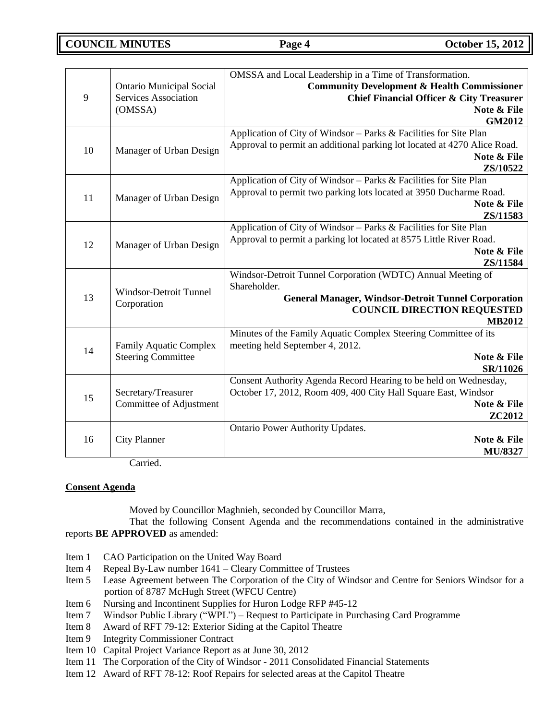**COUNCIL MINUTES Page 4 October 15, 2012**

| 9  | <b>Ontario Municipal Social</b><br><b>Services Association</b><br>(OMSSA) | OMSSA and Local Leadership in a Time of Transformation.<br><b>Community Development &amp; Health Commissioner</b><br><b>Chief Financial Officer &amp; City Treasurer</b><br>Note & File<br><b>GM2012</b> |  |
|----|---------------------------------------------------------------------------|----------------------------------------------------------------------------------------------------------------------------------------------------------------------------------------------------------|--|
| 10 | Manager of Urban Design                                                   | Application of City of Windsor - Parks & Facilities for Site Plan<br>Approval to permit an additional parking lot located at 4270 Alice Road.<br>Note & File<br>ZS/10522                                 |  |
| 11 | Manager of Urban Design                                                   | Application of City of Windsor - Parks & Facilities for Site Plan<br>Approval to permit two parking lots located at 3950 Ducharme Road.<br>Note & File<br>ZS/11583                                       |  |
| 12 | Manager of Urban Design                                                   | Application of City of Windsor - Parks & Facilities for Site Plan<br>Approval to permit a parking lot located at 8575 Little River Road.<br>Note & File<br>ZS/11584                                      |  |
| 13 | <b>Windsor-Detroit Tunnel</b><br>Corporation                              | Windsor-Detroit Tunnel Corporation (WDTC) Annual Meeting of<br>Shareholder.<br><b>General Manager, Windsor-Detroit Tunnel Corporation</b><br><b>COUNCIL DIRECTION REQUESTED</b><br><b>MB2012</b>         |  |
| 14 | <b>Family Aquatic Complex</b><br><b>Steering Committee</b>                | Minutes of the Family Aquatic Complex Steering Committee of its<br>meeting held September 4, 2012.<br>Note & File<br>SR/11026                                                                            |  |
| 15 | Secretary/Treasurer<br>Committee of Adjustment                            | Consent Authority Agenda Record Hearing to be held on Wednesday,<br>October 17, 2012, Room 409, 400 City Hall Square East, Windsor<br>Note & File<br>ZC2012                                              |  |
| 16 | <b>City Planner</b>                                                       | Ontario Power Authority Updates.<br>Note & File<br><b>MU/8327</b>                                                                                                                                        |  |

Carried.

## **Consent Agenda**

Moved by Councillor Maghnieh, seconded by Councillor Marra,

That the following Consent Agenda and the recommendations contained in the administrative reports **BE APPROVED** as amended:

- Item 1 CAO Participation on the United Way Board
- Item 4 Repeal By-Law number 1641 Cleary Committee of Trustees
- Item 5 Lease Agreement between The Corporation of the City of Windsor and Centre for Seniors Windsor for a portion of 8787 McHugh Street (WFCU Centre)
- Item 6 Nursing and Incontinent Supplies for Huron Lodge RFP #45-12
- Item 7 Windsor Public Library ("WPL") Request to Participate in Purchasing Card Programme
- Item 8 Award of RFT 79-12: Exterior Siding at the Capitol Theatre
- Item 9 Integrity Commissioner Contract
- Item 10 Capital Project Variance Report as at June 30, 2012
- Item 11 The Corporation of the City of Windsor 2011 Consolidated Financial Statements
- Item 12 Award of RFT 78-12: Roof Repairs for selected areas at the Capitol Theatre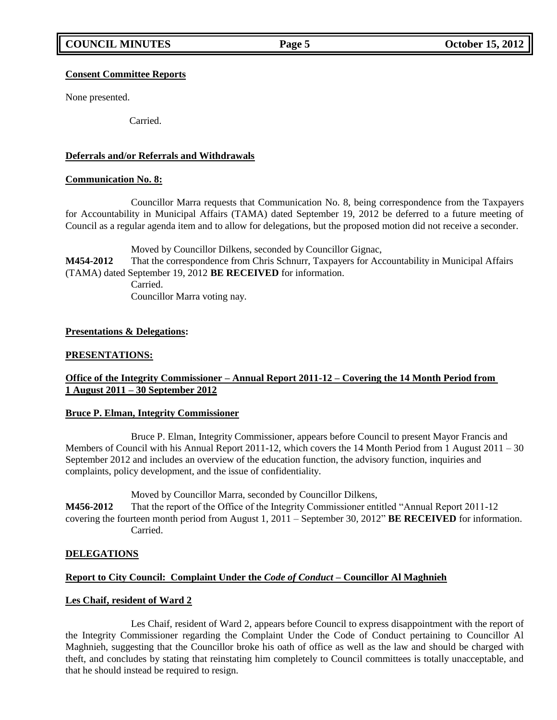## **Consent Committee Reports**

None presented.

Carried.

## **Deferrals and/or Referrals and Withdrawals**

## **Communication No. 8:**

Councillor Marra requests that Communication No. 8, being correspondence from the Taxpayers for Accountability in Municipal Affairs (TAMA) dated September 19, 2012 be deferred to a future meeting of Council as a regular agenda item and to allow for delegations, but the proposed motion did not receive a seconder.

Moved by Councillor Dilkens, seconded by Councillor Gignac, **M454-2012** That the correspondence from Chris Schnurr, Taxpayers for Accountability in Municipal Affairs (TAMA) dated September 19, 2012 **BE RECEIVED** for information.

Carried. Councillor Marra voting nay.

## **Presentations & Delegations:**

## **PRESENTATIONS:**

## **Office of the Integrity Commissioner – Annual Report 2011-12 – Covering the 14 Month Period from 1 August 2011 – 30 September 2012**

## **Bruce P. Elman, Integrity Commissioner**

Bruce P. Elman, Integrity Commissioner, appears before Council to present Mayor Francis and Members of Council with his Annual Report 2011-12, which covers the 14 Month Period from 1 August 2011 – 30 September 2012 and includes an overview of the education function, the advisory function, inquiries and complaints, policy development, and the issue of confidentiality.

Moved by Councillor Marra, seconded by Councillor Dilkens,

**M456-2012** That the report of the Office of the Integrity Commissioner entitled "Annual Report 2011-12 covering the fourteen month period from August 1, 2011 – September 30, 2012" **BE RECEIVED** for information. Carried.

## **DELEGATIONS**

## **Report to City Council: Complaint Under the** *Code of Conduct* **– Councillor Al Maghnieh**

## **Les Chaif, resident of Ward 2**

Les Chaif, resident of Ward 2, appears before Council to express disappointment with the report of the Integrity Commissioner regarding the Complaint Under the Code of Conduct pertaining to Councillor Al Maghnieh, suggesting that the Councillor broke his oath of office as well as the law and should be charged with theft, and concludes by stating that reinstating him completely to Council committees is totally unacceptable, and that he should instead be required to resign.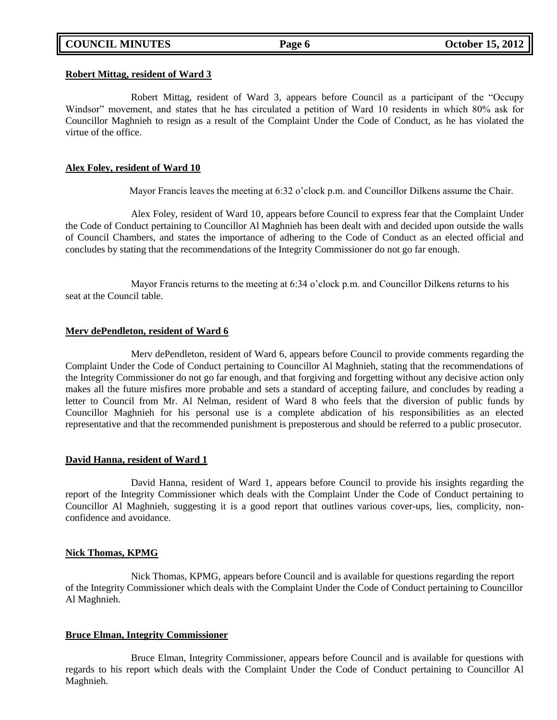#### **Robert Mittag, resident of Ward 3**

Robert Mittag, resident of Ward 3, appears before Council as a participant of the "Occupy Windsor" movement, and states that he has circulated a petition of Ward 10 residents in which 80% ask for Councillor Maghnieh to resign as a result of the Complaint Under the Code of Conduct, as he has violated the virtue of the office.

#### **Alex Foley, resident of Ward 10**

Mayor Francis leaves the meeting at 6:32 o'clock p.m. and Councillor Dilkens assume the Chair.

Alex Foley, resident of Ward 10, appears before Council to express fear that the Complaint Under the Code of Conduct pertaining to Councillor Al Maghnieh has been dealt with and decided upon outside the walls of Council Chambers, and states the importance of adhering to the Code of Conduct as an elected official and concludes by stating that the recommendations of the Integrity Commissioner do not go far enough.

Mayor Francis returns to the meeting at 6:34 o'clock p.m. and Councillor Dilkens returns to his seat at the Council table.

#### **Merv dePendleton, resident of Ward 6**

Merv dePendleton, resident of Ward 6, appears before Council to provide comments regarding the Complaint Under the Code of Conduct pertaining to Councillor Al Maghnieh, stating that the recommendations of the Integrity Commissioner do not go far enough, and that forgiving and forgetting without any decisive action only makes all the future misfires more probable and sets a standard of accepting failure, and concludes by reading a letter to Council from Mr. Al Nelman, resident of Ward 8 who feels that the diversion of public funds by Councillor Maghnieh for his personal use is a complete abdication of his responsibilities as an elected representative and that the recommended punishment is preposterous and should be referred to a public prosecutor.

### **David Hanna, resident of Ward 1**

David Hanna, resident of Ward 1, appears before Council to provide his insights regarding the report of the Integrity Commissioner which deals with the Complaint Under the Code of Conduct pertaining to Councillor Al Maghnieh, suggesting it is a good report that outlines various cover-ups, lies, complicity, nonconfidence and avoidance.

#### **Nick Thomas, KPMG**

Nick Thomas, KPMG, appears before Council and is available for questions regarding the report of the Integrity Commissioner which deals with the Complaint Under the Code of Conduct pertaining to Councillor Al Maghnieh.

#### **Bruce Elman, Integrity Commissioner**

Bruce Elman, Integrity Commissioner, appears before Council and is available for questions with regards to his report which deals with the Complaint Under the Code of Conduct pertaining to Councillor Al Maghnieh.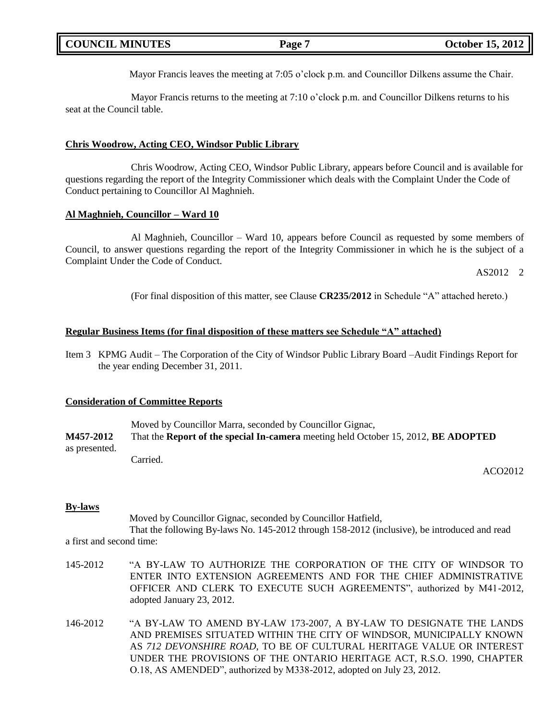| October 15, 2012 $\parallel$<br><b>COUNCIL MINUTES</b><br>Page |  |
|----------------------------------------------------------------|--|
|----------------------------------------------------------------|--|

Mayor Francis leaves the meeting at 7:05 o'clock p.m. and Councillor Dilkens assume the Chair.

Mayor Francis returns to the meeting at 7:10 o'clock p.m. and Councillor Dilkens returns to his seat at the Council table.

#### **Chris Woodrow, Acting CEO, Windsor Public Library**

Chris Woodrow, Acting CEO, Windsor Public Library, appears before Council and is available for questions regarding the report of the Integrity Commissioner which deals with the Complaint Under the Code of Conduct pertaining to Councillor Al Maghnieh.

### **Al Maghnieh, Councillor – Ward 10**

Al Maghnieh, Councillor – Ward 10, appears before Council as requested by some members of Council, to answer questions regarding the report of the Integrity Commissioner in which he is the subject of a Complaint Under the Code of Conduct.

AS2012 2

(For final disposition of this matter, see Clause **CR235/2012** in Schedule "A" attached hereto.)

### **Regular Business Items (for final disposition of these matters see Schedule "A" attached)**

Item 3 KPMG Audit – The Corporation of the City of Windsor Public Library Board –Audit Findings Report for the year ending December 31, 2011.

#### **Consideration of Committee Reports**

Moved by Councillor Marra, seconded by Councillor Gignac, **M457-2012** That the **Report of the special In-camera** meeting held October 15, 2012, **BE ADOPTED** as presented. Carried.

ACO2012

## **By-laws**

Moved by Councillor Gignac, seconded by Councillor Hatfield,

That the following By-laws No. 145-2012 through 158-2012 (inclusive), be introduced and read a first and second time:

- 145-2012 "A BY-LAW TO AUTHORIZE THE CORPORATION OF THE CITY OF WINDSOR TO ENTER INTO EXTENSION AGREEMENTS AND FOR THE CHIEF ADMINISTRATIVE OFFICER AND CLERK TO EXECUTE SUCH AGREEMENTS", authorized by M41-2012, adopted January 23, 2012.
- 146-2012 "A BY-LAW TO AMEND BY-LAW 173-2007, A BY-LAW TO DESIGNATE THE LANDS AND PREMISES SITUATED WITHIN THE CITY OF WINDSOR, MUNICIPALLY KNOWN AS *712 DEVONSHIRE ROAD*, TO BE OF CULTURAL HERITAGE VALUE OR INTEREST UNDER THE PROVISIONS OF THE ONTARIO HERITAGE ACT, R.S.O. 1990, CHAPTER O.18, AS AMENDED", authorized by M338-2012, adopted on July 23, 2012.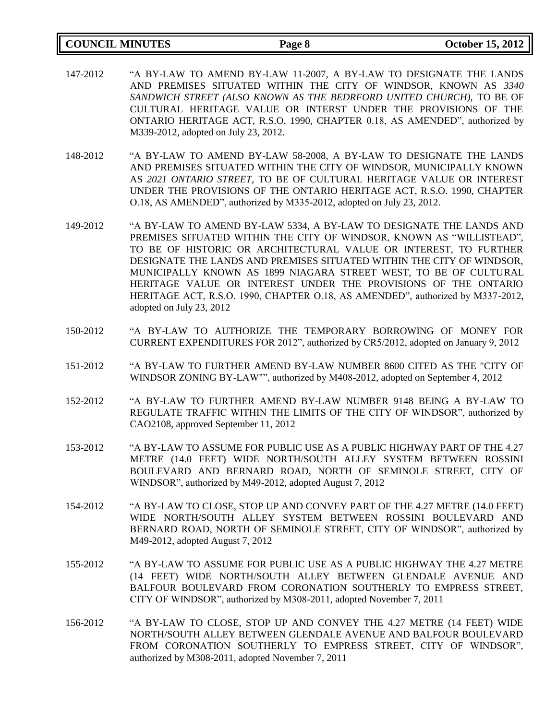| <b>COUNCIL MINUTES</b> | Page 8 | <b>October 15, 2012</b> |
|------------------------|--------|-------------------------|
|                        |        |                         |

- 147-2012 "A BY-LAW TO AMEND BY-LAW 11-2007, A BY-LAW TO DESIGNATE THE LANDS AND PREMISES SITUATED WITHIN THE CITY OF WINDSOR, KNOWN AS *3340 SANDWICH STREET (ALSO KNOWN AS THE BEDRFORD UNITED CHURCH),* TO BE OF CULTURAL HERITAGE VALUE OR INTERST UNDER THE PROVISIONS OF THE ONTARIO HERITAGE ACT, R.S.O. 1990, CHAPTER 0.18, AS AMENDED", authorized by M339-2012, adopted on July 23, 2012.
- 148-2012 "A BY-LAW TO AMEND BY-LAW 58-2008, A BY-LAW TO DESIGNATE THE LANDS AND PREMISES SITUATED WITHIN THE CITY OF WINDSOR, MUNICIPALLY KNOWN AS *2021 ONTARIO STREET,* TO BE OF CULTURAL HERITAGE VALUE OR INTEREST UNDER THE PROVISIONS OF THE ONTARIO HERITAGE ACT, R.S.O. 1990, CHAPTER O.18, AS AMENDED", authorized by M335-2012, adopted on July 23, 2012.
- 149-2012 "A BY-LAW TO AMEND BY-LAW 5334, A BY-LAW TO DESIGNATE THE LANDS AND PREMISES SITUATED WITHIN THE CITY OF WINDSOR, KNOWN AS "WILLISTEAD", TO BE OF HISTORIC OR ARCHITECTURAL VALUE OR INTEREST, TO FURTHER DESIGNATE THE LANDS AND PREMISES SITUATED WITHIN THE CITY OF WINDSOR, MUNICIPALLY KNOWN AS 1899 NIAGARA STREET WEST, TO BE OF CULTURAL HERITAGE VALUE OR INTEREST UNDER THE PROVISIONS OF THE ONTARIO HERITAGE ACT, R.S.O. 1990, CHAPTER O.18, AS AMENDED", authorized by M337-2012, adopted on July 23, 2012
- 150-2012 "A BY-LAW TO AUTHORIZE THE TEMPORARY BORROWING OF MONEY FOR CURRENT EXPENDITURES FOR 2012", authorized by CR5/2012, adopted on January 9, 2012
- 151-2012 "A BY-LAW TO FURTHER AMEND BY-LAW NUMBER 8600 CITED AS THE "CITY OF WINDSOR ZONING BY-LAW"", authorized by M408-2012, adopted on September 4, 2012
- 152-2012 "A BY-LAW TO FURTHER AMEND BY-LAW NUMBER 9148 BEING A BY-LAW TO REGULATE TRAFFIC WITHIN THE LIMITS OF THE CITY OF WINDSOR", authorized by CAO2108, approved September 11, 2012
- 153-2012 "A BY-LAW TO ASSUME FOR PUBLIC USE AS A PUBLIC HIGHWAY PART OF THE 4.27 METRE (14.0 FEET) WIDE NORTH/SOUTH ALLEY SYSTEM BETWEEN ROSSINI BOULEVARD AND BERNARD ROAD, NORTH OF SEMINOLE STREET, CITY OF WINDSOR", authorized by M49-2012, adopted August 7, 2012
- 154-2012 "A BY-LAW TO CLOSE, STOP UP AND CONVEY PART OF THE 4.27 METRE (14.0 FEET) WIDE NORTH/SOUTH ALLEY SYSTEM BETWEEN ROSSINI BOULEVARD AND BERNARD ROAD, NORTH OF SEMINOLE STREET, CITY OF WINDSOR", authorized by M49-2012, adopted August 7, 2012
- 155-2012 "A BY-LAW TO ASSUME FOR PUBLIC USE AS A PUBLIC HIGHWAY THE 4.27 METRE (14 FEET) WIDE NORTH/SOUTH ALLEY BETWEEN GLENDALE AVENUE AND BALFOUR BOULEVARD FROM CORONATION SOUTHERLY TO EMPRESS STREET, CITY OF WINDSOR", authorized by M308-2011, adopted November 7, 2011
- 156-2012 "A BY-LAW TO CLOSE, STOP UP AND CONVEY THE 4.27 METRE (14 FEET) WIDE NORTH/SOUTH ALLEY BETWEEN GLENDALE AVENUE AND BALFOUR BOULEVARD FROM CORONATION SOUTHERLY TO EMPRESS STREET, CITY OF WINDSOR", authorized by M308-2011, adopted November 7, 2011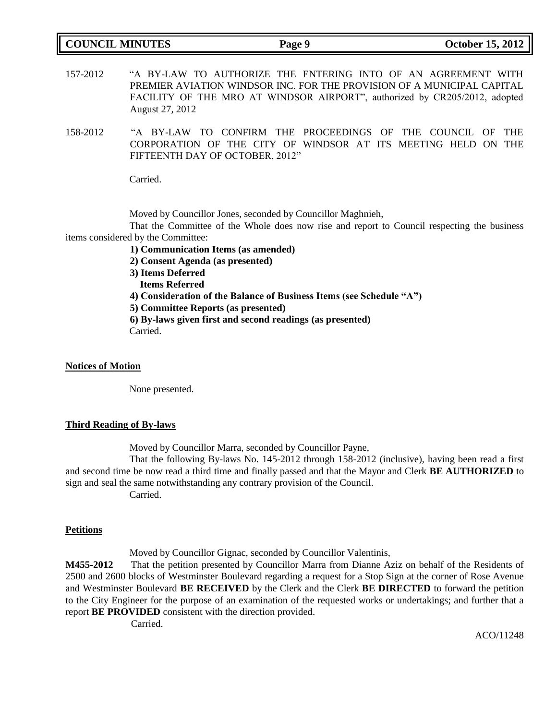| <b>COUNCIL MINUTES</b> |  |
|------------------------|--|
|------------------------|--|

157-2012 "A BY-LAW TO AUTHORIZE THE ENTERING INTO OF AN AGREEMENT WITH PREMIER AVIATION WINDSOR INC. FOR THE PROVISION OF A MUNICIPAL CAPITAL FACILITY OF THE MRO AT WINDSOR AIRPORT", authorized by CR205/2012, adopted August 27, 2012

158-2012 "A BY-LAW TO CONFIRM THE PROCEEDINGS OF THE COUNCIL OF THE CORPORATION OF THE CITY OF WINDSOR AT ITS MEETING HELD ON THE FIFTEENTH DAY OF OCTOBER, 2012"

Carried.

Moved by Councillor Jones, seconded by Councillor Maghnieh,

That the Committee of the Whole does now rise and report to Council respecting the business items considered by the Committee:

- **1) Communication Items (as amended)**
- **2) Consent Agenda (as presented)**
- **3) Items Deferred**
- **Items Referred**
- **4) Consideration of the Balance of Business Items (see Schedule "A")**
- **5) Committee Reports (as presented)**

**6) By-laws given first and second readings (as presented)** Carried.

#### **Notices of Motion**

None presented.

#### **Third Reading of By-laws**

Moved by Councillor Marra, seconded by Councillor Payne,

That the following By-laws No. 145-2012 through 158-2012 (inclusive), having been read a first and second time be now read a third time and finally passed and that the Mayor and Clerk **BE AUTHORIZED** to sign and seal the same notwithstanding any contrary provision of the Council. Carried.

#### **Petitions**

Moved by Councillor Gignac, seconded by Councillor Valentinis,

**M455-2012** That the petition presented by Councillor Marra from Dianne Aziz on behalf of the Residents of 2500 and 2600 blocks of Westminster Boulevard regarding a request for a Stop Sign at the corner of Rose Avenue and Westminster Boulevard **BE RECEIVED** by the Clerk and the Clerk **BE DIRECTED** to forward the petition to the City Engineer for the purpose of an examination of the requested works or undertakings; and further that a report **BE PROVIDED** consistent with the direction provided.

Carried.

ACO/11248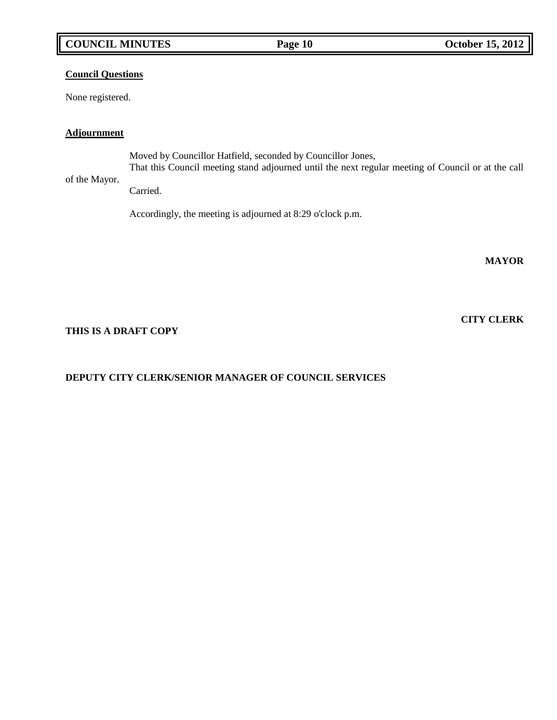# **COUNCIL MINUTES Page 10 October 15, 2012**

## **Council Questions**

None registered.

## **Adjournment**

Moved by Councillor Hatfield, seconded by Councillor Jones, That this Council meeting stand adjourned until the next regular meeting of Council or at the call

## of the Mayor.

Carried.

Accordingly, the meeting is adjourned at 8:29 o'clock p.m.

**MAYOR**

## **THIS IS A DRAFT COPY**

# **DEPUTY CITY CLERK/SENIOR MANAGER OF COUNCIL SERVICES**

**CITY CLERK**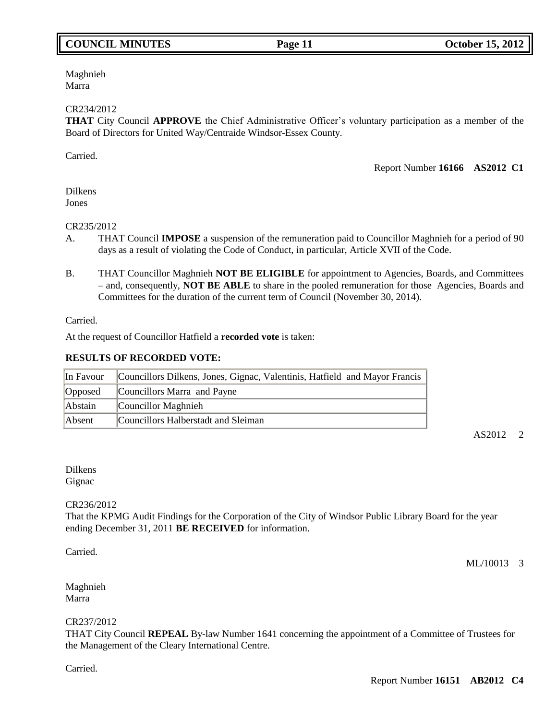# **COUNCIL MINUTES Page 11 October 15, 2012**

Maghnieh Marra

#### CR234/2012

**THAT** City Council **APPROVE** the Chief Administrative Officer's voluntary participation as a member of the Board of Directors for United Way/Centraide Windsor-Essex County.

Carried.

Report Number **16166 AS2012 C1**

Dilkens Jones

#### CR235/2012

- A. THAT Council **IMPOSE** a suspension of the remuneration paid to Councillor Maghnieh for a period of 90 days as a result of violating the Code of Conduct, in particular, Article XVII of the Code.
- B. THAT Councillor Maghnieh **NOT BE ELIGIBLE** for appointment to Agencies, Boards, and Committees – and, consequently, **NOT BE ABLE** to share in the pooled remuneration for those Agencies, Boards and Committees for the duration of the current term of Council (November 30, 2014).

Carried.

At the request of Councillor Hatfield a **recorded vote** is taken:

#### **RESULTS OF RECORDED VOTE:**

| In Favour | Councillors Dilkens, Jones, Gignac, Valentinis, Hatfield and Mayor Francis |
|-----------|----------------------------------------------------------------------------|
| Opposed   | Councillors Marra and Payne                                                |
| Abstain   | Councillor Maghnieh                                                        |
| Absent    | Councillors Halberstadt and Sleiman                                        |

AS2012 2

Dilkens **Gignac** 

#### CR236/2012

That the KPMG Audit Findings for the Corporation of the City of Windsor Public Library Board for the year ending December 31, 2011 **BE RECEIVED** for information.

Carried.

ML/10013 3

Maghnieh Marra

#### CR237/2012

THAT City Council **REPEAL** By-law Number 1641 concerning the appointment of a Committee of Trustees for the Management of the Cleary International Centre.

Carried.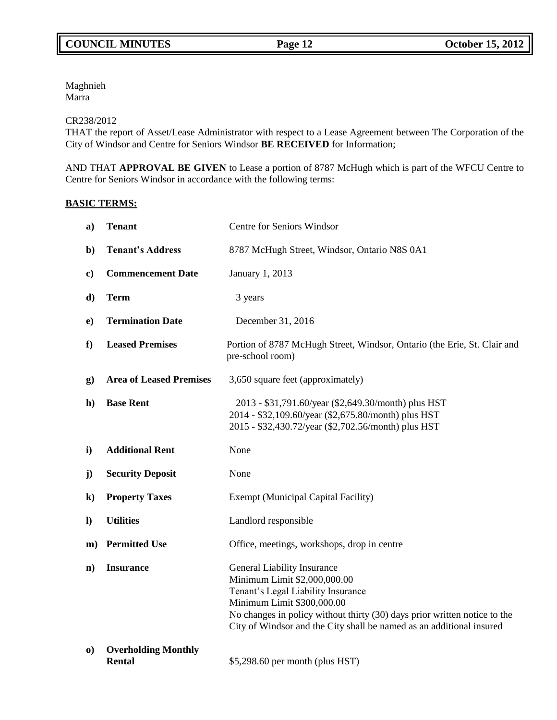Maghnieh Marra

### CR238/2012

THAT the report of Asset/Lease Administrator with respect to a Lease Agreement between The Corporation of the City of Windsor and Centre for Seniors Windsor **BE RECEIVED** for Information;

AND THAT **APPROVAL BE GIVEN** to Lease a portion of 8787 McHugh which is part of the WFCU Centre to Centre for Seniors Windsor in accordance with the following terms:

## **BASIC TERMS:**

| a)           | <b>Tenant</b>                               | <b>Centre for Seniors Windsor</b>                                                                                                                                                                                                                                                    |  |
|--------------|---------------------------------------------|--------------------------------------------------------------------------------------------------------------------------------------------------------------------------------------------------------------------------------------------------------------------------------------|--|
| $\mathbf{b}$ | <b>Tenant's Address</b>                     | 8787 McHugh Street, Windsor, Ontario N8S 0A1                                                                                                                                                                                                                                         |  |
| $\mathbf{c}$ | <b>Commencement Date</b>                    | January 1, 2013                                                                                                                                                                                                                                                                      |  |
| d)           | <b>Term</b>                                 | 3 years                                                                                                                                                                                                                                                                              |  |
| $\bf{e})$    | <b>Termination Date</b>                     | December 31, 2016                                                                                                                                                                                                                                                                    |  |
| f            | <b>Leased Premises</b>                      | Portion of 8787 McHugh Street, Windsor, Ontario (the Erie, St. Clair and<br>pre-school room)                                                                                                                                                                                         |  |
| $\bf{g})$    | <b>Area of Leased Premises</b>              | 3,650 square feet (approximately)                                                                                                                                                                                                                                                    |  |
| $\mathbf{h}$ | <b>Base Rent</b>                            | 2013 - \$31,791.60/year (\$2,649.30/month) plus HST<br>2014 - \$32,109.60/year (\$2,675.80/month) plus HST<br>2015 - \$32,430.72/year (\$2,702.56/month) plus HST                                                                                                                    |  |
| $\mathbf{i}$ | <b>Additional Rent</b>                      | None                                                                                                                                                                                                                                                                                 |  |
| $\mathbf{j}$ | <b>Security Deposit</b>                     | None                                                                                                                                                                                                                                                                                 |  |
| $\bf k)$     | <b>Property Taxes</b>                       | <b>Exempt (Municipal Capital Facility)</b>                                                                                                                                                                                                                                           |  |
| $\bf{D}$     | <b>Utilities</b>                            | Landlord responsible                                                                                                                                                                                                                                                                 |  |
| $\mathbf{m}$ | <b>Permitted Use</b>                        | Office, meetings, workshops, drop in centre                                                                                                                                                                                                                                          |  |
| $\mathbf{n}$ | <b>Insurance</b>                            | General Liability Insurance<br>Minimum Limit \$2,000,000.00<br>Tenant's Legal Liability Insurance<br>Minimum Limit \$300,000.00<br>No changes in policy without thirty (30) days prior written notice to the<br>City of Windsor and the City shall be named as an additional insured |  |
| $\bf{0}$     | <b>Overholding Monthly</b><br><b>Rental</b> | \$5,298.60 per month (plus HST)                                                                                                                                                                                                                                                      |  |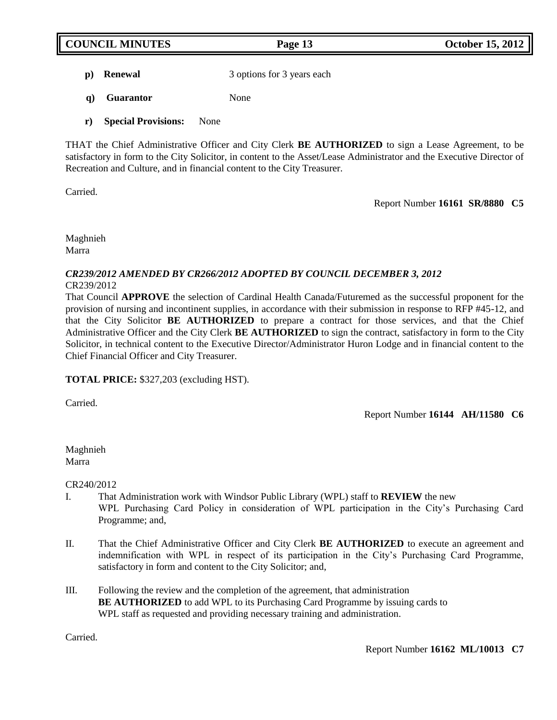**p**) **Renewal** 3 options for 3 years each

- **q) Guarantor** None
- **r) Special Provisions:** None

THAT the Chief Administrative Officer and City Clerk **BE AUTHORIZED** to sign a Lease Agreement, to be satisfactory in form to the City Solicitor, in content to the Asset/Lease Administrator and the Executive Director of Recreation and Culture, and in financial content to the City Treasurer.

Carried.

Report Number **16161 SR/8880 C5**

Maghnieh Marra

### *CR239/2012 AMENDED BY CR266/2012 ADOPTED BY COUNCIL DECEMBER 3, 2012* CR239/2012

That Council **APPROVE** the selection of Cardinal Health Canada/Futuremed as the successful proponent for the provision of nursing and incontinent supplies, in accordance with their submission in response to RFP #45-12, and that the City Solicitor **BE AUTHORIZED** to prepare a contract for those services, and that the Chief Administrative Officer and the City Clerk **BE AUTHORIZED** to sign the contract, satisfactory in form to the City Solicitor, in technical content to the Executive Director/Administrator Huron Lodge and in financial content to the Chief Financial Officer and City Treasurer.

## **TOTAL PRICE:** \$327,203 (excluding HST).

Carried.

Report Number **16144 AH/11580 C6**

Maghnieh Marra

CR240/2012

- I. That Administration work with Windsor Public Library (WPL) staff to **REVIEW** the new WPL Purchasing Card Policy in consideration of WPL participation in the City's Purchasing Card Programme; and,
- II. That the Chief Administrative Officer and City Clerk **BE AUTHORIZED** to execute an agreement and indemnification with WPL in respect of its participation in the City's Purchasing Card Programme, satisfactory in form and content to the City Solicitor; and,
- III. Following the review and the completion of the agreement, that administration **BE AUTHORIZED** to add WPL to its Purchasing Card Programme by issuing cards to WPL staff as requested and providing necessary training and administration.

**Carried**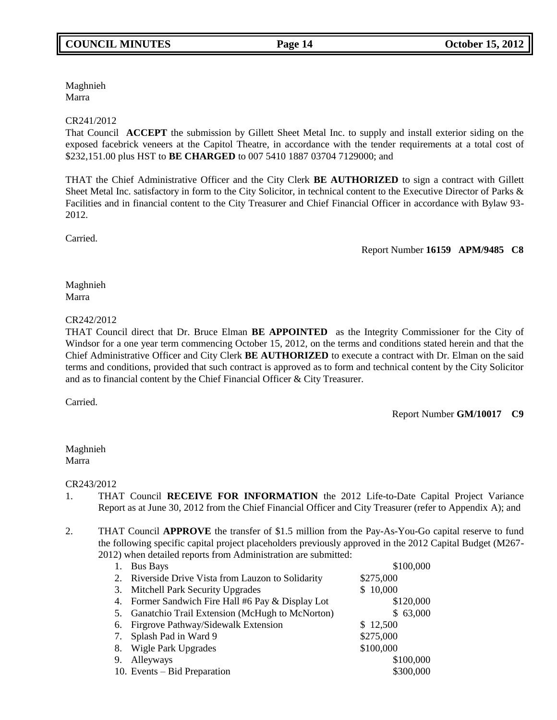# Maghnieh Marra

## CR241/2012

That Council **ACCEPT** the submission by Gillett Sheet Metal Inc. to supply and install exterior siding on the exposed facebrick veneers at the Capitol Theatre, in accordance with the tender requirements at a total cost of \$232,151.00 plus HST to **BE CHARGED** to 007 5410 1887 03704 7129000; and

THAT the Chief Administrative Officer and the City Clerk **BE AUTHORIZED** to sign a contract with Gillett Sheet Metal Inc. satisfactory in form to the City Solicitor, in technical content to the Executive Director of Parks & Facilities and in financial content to the City Treasurer and Chief Financial Officer in accordance with Bylaw 93- 2012.

Carried.

Report Number **16159 APM/9485 C8**

Maghnieh Marra

## CR242/2012

THAT Council direct that Dr. Bruce Elman **BE APPOINTED** as the Integrity Commissioner for the City of Windsor for a one year term commencing October 15, 2012, on the terms and conditions stated herein and that the Chief Administrative Officer and City Clerk **BE AUTHORIZED** to execute a contract with Dr. Elman on the said terms and conditions, provided that such contract is approved as to form and technical content by the City Solicitor and as to financial content by the Chief Financial Officer & City Treasurer.

Carried.

Report Number **GM/10017 C9**

### Maghnieh Marra

CR243/2012

- 1. THAT Council **RECEIVE FOR INFORMATION** the 2012 Life-to-Date Capital Project Variance Report as at June 30, 2012 from the Chief Financial Officer and City Treasurer (refer to Appendix A); and
- 2. THAT Council **APPROVE** the transfer of \$1.5 million from the Pay-As-You-Go capital reserve to fund the following specific capital project placeholders previously approved in the 2012 Capital Budget (M267- 2012) when detailed reports from Administration are submitted:

| 1. | <b>Bus Bays</b>                                    | \$100,000 |
|----|----------------------------------------------------|-----------|
|    | 2. Riverside Drive Vista from Lauzon to Solidarity | \$275,000 |
|    | 3. Mitchell Park Security Upgrades                 | \$10,000  |
|    | 4. Former Sandwich Fire Hall #6 Pay & Display Lot  | \$120,000 |
|    | 5. Ganatchio Trail Extension (McHugh to McNorton)  | \$63,000  |
|    | 6. Firgrove Pathway/Sidewalk Extension             | \$12,500  |
|    | 7. Splash Pad in Ward 9                            | \$275,000 |
| 8. | Wigle Park Upgrades                                | \$100,000 |
| 9. | Alleyways                                          | \$100,000 |
|    | 10. Events – Bid Preparation                       | \$300,000 |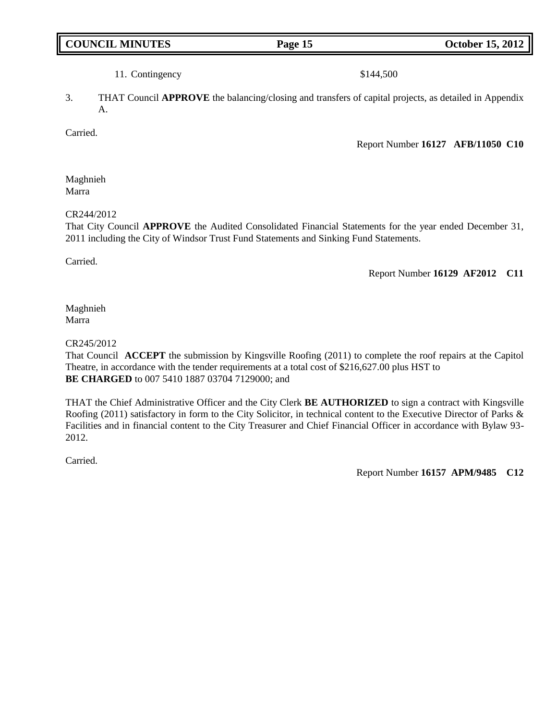# **COUNCIL MINUTES Page 15 October 15, 2012**

## 11. Contingency \$144,500

3. THAT Council **APPROVE** the balancing/closing and transfers of capital projects, as detailed in Appendix A.

**Carried** 

Report Number **16127 AFB/11050 C10**

Maghnieh Marra

CR244/2012

That City Council **APPROVE** the Audited Consolidated Financial Statements for the year ended December 31, 2011 including the City of Windsor Trust Fund Statements and Sinking Fund Statements.

Carried.

Report Number **16129 AF2012 C11**

Maghnieh Marra

### CR245/2012

That Council **ACCEPT** the submission by Kingsville Roofing (2011) to complete the roof repairs at the Capitol Theatre, in accordance with the tender requirements at a total cost of \$216,627.00 plus HST to **BE CHARGED** to 007 5410 1887 03704 7129000; and

THAT the Chief Administrative Officer and the City Clerk **BE AUTHORIZED** to sign a contract with Kingsville Roofing (2011) satisfactory in form to the City Solicitor, in technical content to the Executive Director of Parks & Facilities and in financial content to the City Treasurer and Chief Financial Officer in accordance with Bylaw 93- 2012.

Carried.

Report Number **16157 APM/9485 C12**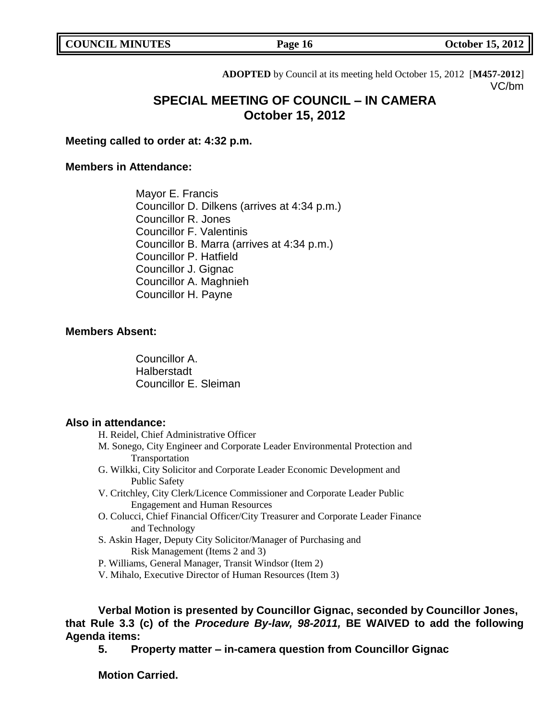**ADOPTED** by Council at its meeting held October 15, 2012 [**M457-2012**] VC/bm

# **SPECIAL MEETING OF COUNCIL – IN CAMERA October 15, 2012**

**Meeting called to order at: 4:32 p.m.**

## **Members in Attendance:**

Mayor E. Francis Councillor D. Dilkens (arrives at 4:34 p.m.) Councillor R. Jones Councillor F. Valentinis Councillor B. Marra (arrives at 4:34 p.m.) Councillor P. Hatfield Councillor J. Gignac Councillor A. Maghnieh Councillor H. Payne

## **Members Absent:**

Councillor A. **Halberstadt** Councillor E. Sleiman

## **Also in attendance:**

H. Reidel, Chief Administrative Officer

- M. Sonego, City Engineer and Corporate Leader Environmental Protection and Transportation
- G. Wilkki, City Solicitor and Corporate Leader Economic Development and Public Safety
- V. Critchley, City Clerk/Licence Commissioner and Corporate Leader Public Engagement and Human Resources
- O. Colucci, Chief Financial Officer/City Treasurer and Corporate Leader Finance and Technology
- S. Askin Hager, Deputy City Solicitor/Manager of Purchasing and Risk Management (Items 2 and 3)
- P. Williams, General Manager, Transit Windsor (Item 2)
- V. Mihalo, Executive Director of Human Resources (Item 3)

**Verbal Motion is presented by Councillor Gignac, seconded by Councillor Jones, that Rule 3.3 (c) of the** *Procedure By-law, 98-2011,* **BE WAIVED to add the following Agenda items:**

**5. Property matter – in-camera question from Councillor Gignac**

**Motion Carried.**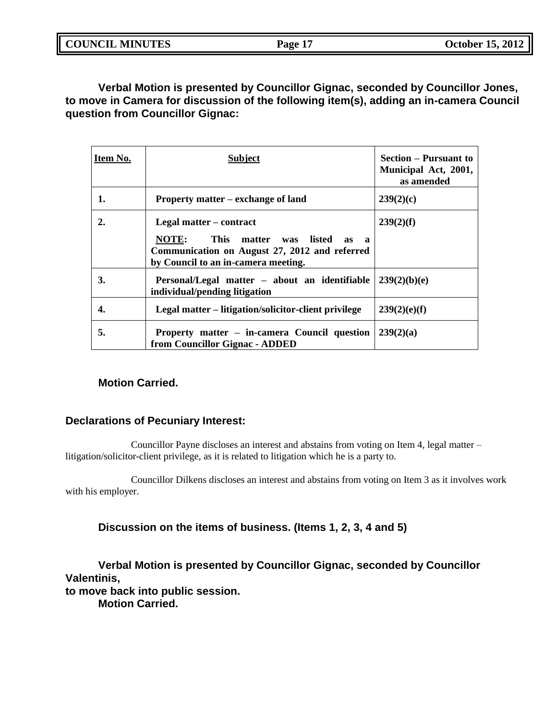| <b>COUNCIL MINUTES</b> |  |
|------------------------|--|
|                        |  |

**Verbal Motion is presented by Councillor Gignac, seconded by Councillor Jones, to move in Camera for discussion of the following item(s), adding an in-camera Council question from Councillor Gignac:**

| Item No. | <b>Subject</b>                                                                                                                                               | <b>Section – Pursuant to</b><br>Municipal Act, 2001,<br>as amended |
|----------|--------------------------------------------------------------------------------------------------------------------------------------------------------------|--------------------------------------------------------------------|
| 1.       | Property matter – exchange of land                                                                                                                           | 239(2)(c)                                                          |
| 2.       | Legal matter – contract<br>NOTE:<br>This matter was listed as<br>— а<br>Communication on August 27, 2012 and referred<br>by Council to an in-camera meeting. | 239(2)(f)                                                          |
| 3.       | Personal/Legal matter – about an identifiable<br>individual/pending litigation                                                                               | 239(2)(b)(e)                                                       |
| 4.       | Legal matter – litigation/solicitor-client privilege                                                                                                         | 239(2)(e)(f)                                                       |
| 5.       | Property matter – in-camera Council question<br>from Councillor Gignac - ADDED                                                                               | 239(2)(a)                                                          |

# **Motion Carried.**

## **Declarations of Pecuniary Interest:**

Councillor Payne discloses an interest and abstains from voting on Item 4, legal matter – litigation/solicitor-client privilege, as it is related to litigation which he is a party to.

Councillor Dilkens discloses an interest and abstains from voting on Item 3 as it involves work with his employer.

**Discussion on the items of business. (Items 1, 2, 3, 4 and 5)**

**Verbal Motion is presented by Councillor Gignac, seconded by Councillor Valentinis,**

**to move back into public session.**

**Motion Carried.**